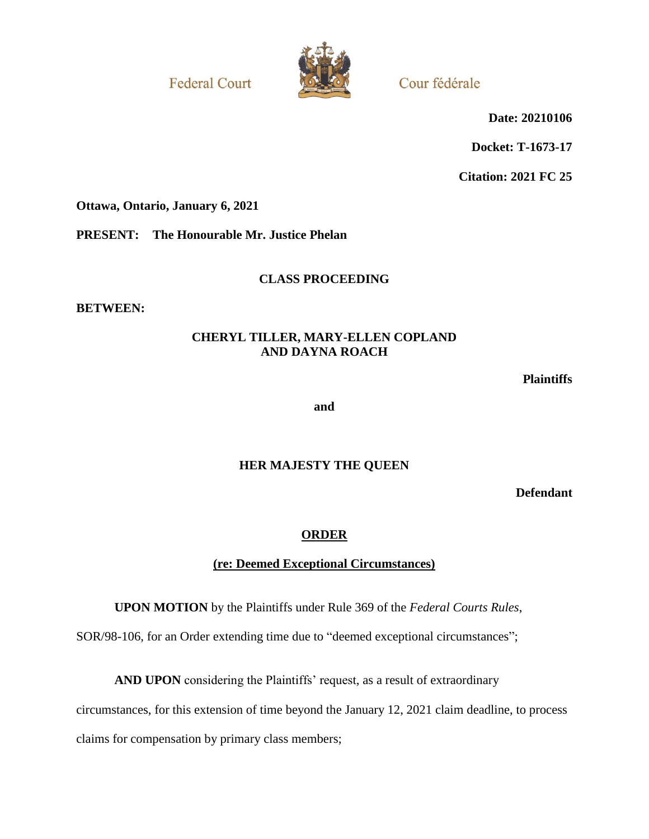**Federal Court** 



Cour fédérale

**Date: 20210106**

**Docket: T-1673-17**

**Citation: 2021 FC 25**

**Ottawa, Ontario, January 6, 2021**

**PRESENT: The Honourable Mr. Justice Phelan**

### **CLASS PROCEEDING**

**BETWEEN:**

# **CHERYL TILLER, MARY-ELLEN COPLAND AND DAYNA ROACH**

**Plaintiffs**

**and**

# **HER MAJESTY THE QUEEN**

**Defendant**

# **ORDER**

# **(re: Deemed Exceptional Circumstances)**

**UPON MOTION** by the Plaintiffs under Rule 369 of the *Federal Courts Rules*,

SOR/98-106, for an Order extending time due to "deemed exceptional circumstances";

**AND UPON** considering the Plaintiffs' request, as a result of extraordinary

circumstances, for this extension of time beyond the January 12, 2021 claim deadline, to process

claims for compensation by primary class members;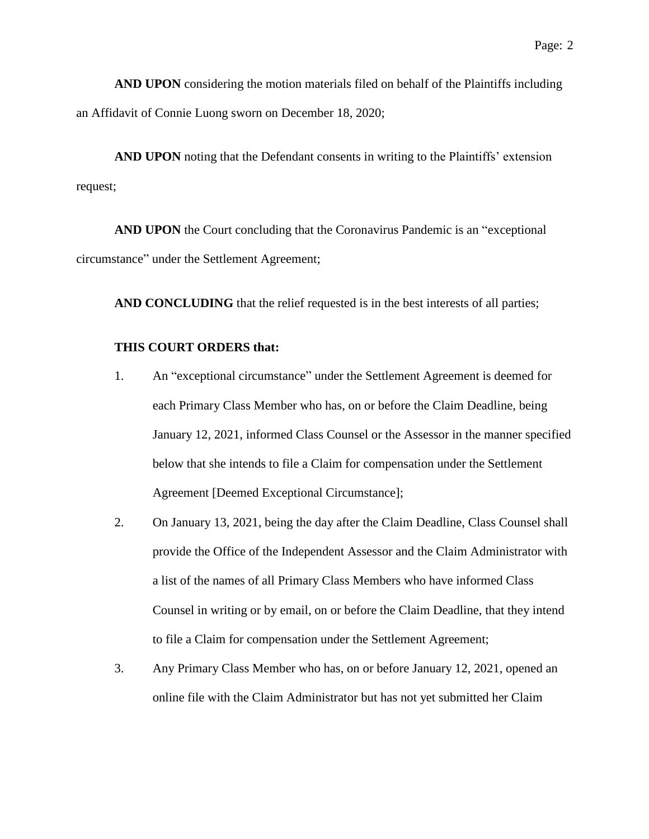**AND UPON** considering the motion materials filed on behalf of the Plaintiffs including an Affidavit of Connie Luong sworn on December 18, 2020;

**AND UPON** noting that the Defendant consents in writing to the Plaintiffs' extension request;

**AND UPON** the Court concluding that the Coronavirus Pandemic is an "exceptional circumstance" under the Settlement Agreement;

**AND CONCLUDING** that the relief requested is in the best interests of all parties;

### **THIS COURT ORDERS that:**

- 1. An "exceptional circumstance" under the Settlement Agreement is deemed for each Primary Class Member who has, on or before the Claim Deadline, being January 12, 2021, informed Class Counsel or the Assessor in the manner specified below that she intends to file a Claim for compensation under the Settlement Agreement [Deemed Exceptional Circumstance];
- 2. On January 13, 2021, being the day after the Claim Deadline, Class Counsel shall provide the Office of the Independent Assessor and the Claim Administrator with a list of the names of all Primary Class Members who have informed Class Counsel in writing or by email, on or before the Claim Deadline, that they intend to file a Claim for compensation under the Settlement Agreement;
- 3. Any Primary Class Member who has, on or before January 12, 2021, opened an online file with the Claim Administrator but has not yet submitted her Claim